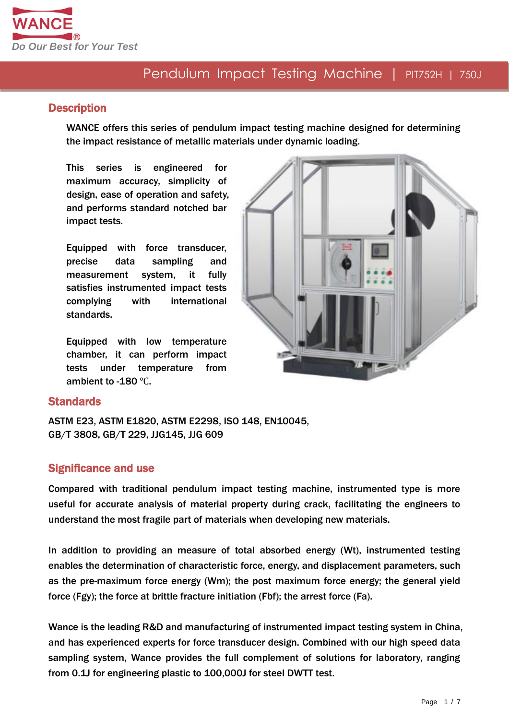

#### **Description**

WANCE offers this series of pendulum impact testing machine designed for determining the impact resistance of metallic materials under dynamic loading.

This series is engineered for maximum accuracy, simplicity of design, ease of operation and safety, and performs standard notched bar impact tests.

Equipped with force transducer, precise data sampling and measurement system, it fully satisfies instrumented impact tests complying with international standards.

Equipped with low temperature chamber, it can perform impact tests under temperature from ambient to -180 ℃.



#### **Standards**

ASTM E23, ASTM E1820, ASTM E2298, ISO 148, EN10045, GB/T 3808, GB/T 229, JJG145, JJG 609

#### Significance and use

Compared with traditional pendulum impact testing machine, instrumented type is more useful for accurate analysis of material property during crack, facilitating the engineers to understand the most fragile part of materials when developing new materials.

In addition to providing an measure of total absorbed energy (Wt), instrumented testing enables the determination of characteristic force, energy, and displacement parameters, such as the pre-maximum force energy (Wm); the post maximum force energy; the general yield force (Fgy); the force at brittle fracture initiation (Fbf); the arrest force (Fa).

Wance is the leading R&D and manufacturing of instrumented impact testing system in China, and has experienced experts for force transducer design. Combined with our high speed data sampling system, Wance provides the full complement of solutions for laboratory, ranging from 0.1J for engineering plastic to 100,000J for steel DWTT test.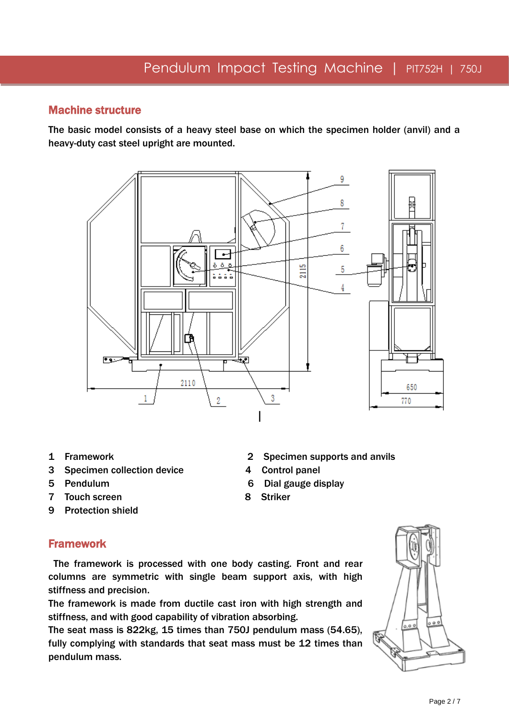#### Machine structure

The basic model consists of a heavy steel base on which the specimen holder (anvil) and a heavy-duty cast steel upright are mounted.



- 
- 3 Specimen collection device 4 Control panel
- 
- 7 Touch screen 8 Striker
- 9 Protection shield

## Framework

The framework is processed with one body casting. Front and rear columns are symmetric with single beam support axis, with high stiffness and precision.

The framework is made from ductile cast iron with high strength and stiffness, and with good capability of vibration absorbing.

The seat mass is 822kg, 15 times than 750J pendulum mass (54.65), fully complying with standards that seat mass must be 12 times than pendulum mass.

- 
- 1 Framework 2 Specimen supports and anvils
	-
- 5 Pendulum 6 Dial gauge display
	-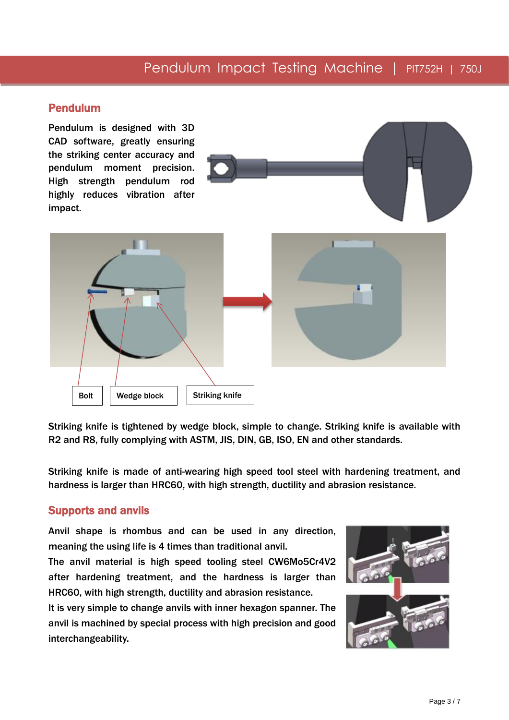#### Pendulum

Pendulum is designed with 3D CAD software, greatly ensuring the striking center accuracy and pendulum moment precision. High strength pendulum rod highly reduces vibration after impact.





Striking knife is tightened by wedge block, simple to change. Striking knife is available with R2 and R8, fully complying with ASTM, JIS, DIN, GB, ISO, EN and other standards.

Striking knife is made of anti-wearing high speed tool steel with hardening treatment, and hardness is larger than HRC60, with high strength, ductility and abrasion resistance.

#### Supports and anvils

Anvil shape is rhombus and can be used in any direction, meaning the using life is 4 times than traditional anvil.

The anvil material is high speed tooling steel CW6Mo5Cr4V2 after hardening treatment, and the hardness is larger than HRC60, with high strength, ductility and abrasion resistance.

It is very simple to change anvils with inner hexagon spanner. The anvil is machined by special process with high precision and good interchangeability.

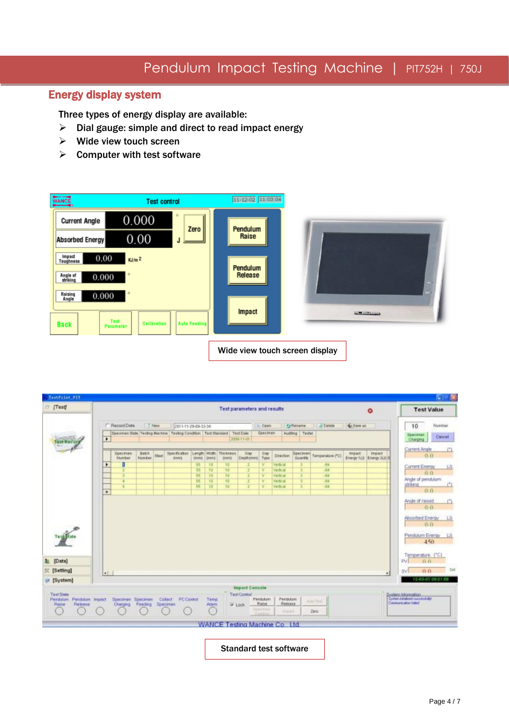### Energy display system

Three types of energy display are available:

- $\triangleright$  Dial gauge: simple and direct to read impact energy
- $\triangleright$  Wide view touch screen
- $\triangleright$  Computer with test software



| TestPilot PIT                            |                                                 |                                                                          |                        |                                  |                                |      |                        |                                         |                         |                           |                     |                       |                  |           |                                   | п                                                                           |
|------------------------------------------|-------------------------------------------------|--------------------------------------------------------------------------|------------------------|----------------------------------|--------------------------------|------|------------------------|-----------------------------------------|-------------------------|---------------------------|---------------------|-----------------------|------------------|-----------|-----------------------------------|-----------------------------------------------------------------------------|
| $T$ (Test)                               | <b>Test parameters and results</b><br>$\bullet$ |                                                                          |                        |                                  |                                |      |                        |                                         |                         |                           |                     | <b>Test Value</b>     |                  |           |                                   |                                                                             |
|                                          |                                                 | IT Racord Dote                                                           | - New                  |                                  | 2011-11-29-89-33-34            |      |                        |                                         |                         | <b>Open</b>               |                     | <b>Cyllename</b>      | -F Detate        | C Dave as |                                   | 10<br>Number                                                                |
|                                          | ٠                                               | Doesmen Illate Testing Machine Testing Condition Test Standard Test Date |                        |                                  |                                |      |                        |                                         | 2008-11-01              | Specimen                  |                     | Auditing Tester       |                  |           |                                   | lipecimen.<br>Cancel<br>Charging                                            |
|                                          |                                                 | Spectmen<br>Nomber                                                       | <b>Batch</b><br>Number | 3309                             | <b>Specification:</b><br>drams | OWEN | Irero.                 | Length Width Thickness<br><i>terero</i> | Gogt<br>Depth (mm) Type | Gap                       | <b>Direction</b>    | Speciment<br>Quantity | Temperature (*C) | Impact    | Impact<br>Energy 160 Energy 260 B | Current Angle<br>00                                                         |
|                                          | ٠                                               | T                                                                        |                        |                                  |                                | 35   | 10                     | 10                                      |                         | v                         | <b>Verbcal</b>      |                       | 64               |           |                                   |                                                                             |
|                                          |                                                 |                                                                          |                        |                                  |                                | 55   | 70                     | 10                                      |                         | ν                         | Verlical            |                       | 84               |           |                                   | Current Energy                                                              |
|                                          |                                                 |                                                                          |                        |                                  |                                | 45   | 10                     | 10                                      |                         | v                         | <b>Verscar</b>      |                       | 84               |           |                                   | 0 <sub>0</sub>                                                              |
|                                          |                                                 | Ŧ                                                                        |                        |                                  |                                | 46   | $\overline{10}$        | $\overline{10}$                         |                         | π                         | Webcat              |                       | 184              |           |                                   | Angle of pendulum<br>position                                               |
|                                          | ٠                                               |                                                                          |                        |                                  |                                | 35   | 10                     | $\overline{10}$                         |                         | π                         | <b>Verbrat</b>      |                       | $-84$            |           |                                   | 0.0                                                                         |
|                                          |                                                 |                                                                          |                        |                                  |                                |      |                        |                                         |                         |                           |                     |                       |                  |           |                                   | Angle of raised.<br>0.0                                                     |
|                                          |                                                 |                                                                          |                        |                                  |                                |      |                        |                                         |                         |                           |                     |                       |                  |           |                                   | Absorbed Energy<br>0.0                                                      |
|                                          |                                                 |                                                                          |                        |                                  |                                |      |                        |                                         |                         |                           |                     |                       |                  |           |                                   |                                                                             |
| Test State                               |                                                 |                                                                          |                        |                                  |                                |      |                        |                                         |                         |                           |                     |                       |                  |           |                                   | Pendulum Energy<br>450                                                      |
| [Data]                                   |                                                 |                                                                          |                        |                                  |                                |      |                        |                                         |                         |                           |                     |                       |                  |           |                                   | Temperature (°C)<br>EV<br>森直                                                |
| <b>Setting]</b>                          |                                                 |                                                                          |                        |                                  |                                |      |                        |                                         |                         |                           |                     |                       |                  |           |                                   | 百百<br>svl                                                                   |
| [System]                                 | $\left  \cdot \right $                          |                                                                          |                        |                                  |                                |      |                        |                                         |                         |                           |                     |                       |                  |           | $\blacksquare$                    | 12-03-07 09:01:58                                                           |
|                                          |                                                 |                                                                          |                        |                                  |                                |      |                        |                                         | Impact Console          |                           |                     |                       |                  |           |                                   |                                                                             |
| Test State                               |                                                 | Specimee Specimes<br>Cheroma:                                            | Feeding                | Collect <sup>1</sup><br>Specimen | PC Control                     |      | Tenp.<br><b>Albret</b> |                                         | Test Control<br>W Lock  | Fishdulum<br><b>Harpe</b> | Pandulum<br>Release |                       | Auto first.      |           |                                   | System Intornation<br>System establish successfully!<br>Canourication taked |
| Pendum Pendum Impect<br>Raisa<br>Raleese |                                                 |                                                                          |                        |                                  |                                |      |                        |                                         |                         |                           |                     |                       |                  |           |                                   |                                                                             |

Standard test software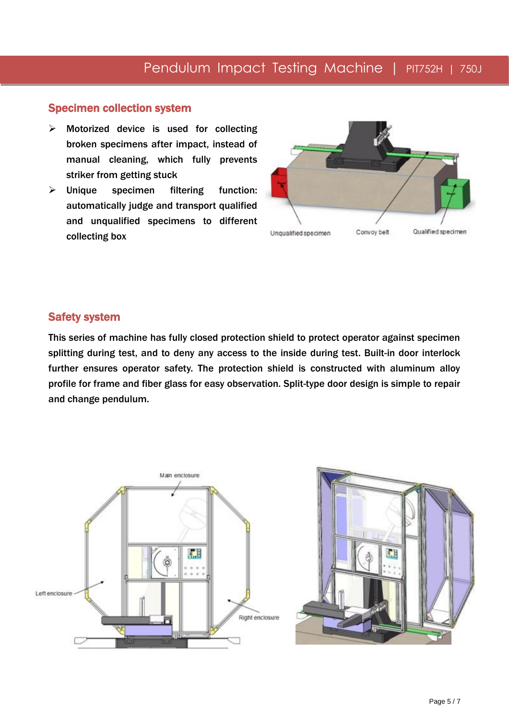#### Specimen collection system

- $\triangleright$  Motorized device is used for collecting broken specimens after impact, instead of manual cleaning, which fully prevents striker from getting stuck
- $\triangleright$  Unique specimen filtering function: automatically judge and transport qualified and unqualified specimens to different collecting box



#### Safety system

This series of machine has fully closed protection shield to protect operator against specimen splitting during test, and to deny any access to the inside during test. Built-in door interlock further ensures operator safety. The protection shield is constructed with aluminum alloy profile for frame and fiber glass for easy observation. Split-type door design is simple to repair and change pendulum.

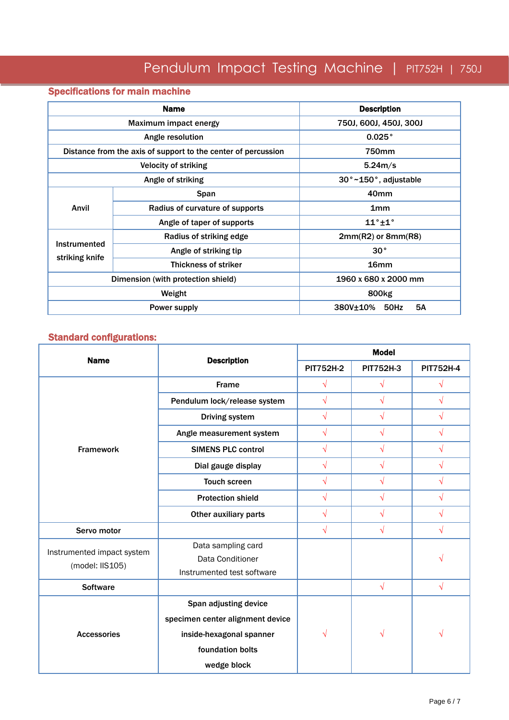## Specifications for main machine

|                | <b>Name</b>                                                   | <b>Description</b>            |  |  |  |
|----------------|---------------------------------------------------------------|-------------------------------|--|--|--|
|                | Maximum impact energy                                         | 750J, 600J, 450J, 300J        |  |  |  |
|                | Angle resolution                                              | 0.025°                        |  |  |  |
|                | Distance from the axis of support to the center of percussion | 750mm                         |  |  |  |
|                | <b>Velocity of striking</b>                                   | 5.24m/s                       |  |  |  |
|                | Angle of striking                                             | 30°~150°, adjustable          |  |  |  |
|                | Span                                                          | 40 <sub>mm</sub>              |  |  |  |
| Anvil          | Radius of curvature of supports                               | 1mm                           |  |  |  |
|                | Angle of taper of supports                                    | $11^\circ + 1^\circ$          |  |  |  |
|                | Radius of striking edge                                       | $2mm(R2)$ or $8mm(R8)$        |  |  |  |
| Instrumented   | Angle of striking tip                                         | $30^{\circ}$                  |  |  |  |
| striking knife | Thickness of striker                                          | 16 <sub>mm</sub>              |  |  |  |
|                | Dimension (with protection shield)                            | 1960 x 680 x 2000 mm          |  |  |  |
|                | Weight                                                        | 800 <sub>kg</sub>             |  |  |  |
|                | Power supply                                                  | <b>5A</b><br>50Hz<br>380V±10% |  |  |  |

## Standard configurations:

| <b>Name</b>                                   |                                        | <b>Model</b>     |                  |                  |  |
|-----------------------------------------------|----------------------------------------|------------------|------------------|------------------|--|
|                                               | <b>Description</b>                     | <b>PIT752H-2</b> | <b>PIT752H-3</b> | <b>PIT752H-4</b> |  |
|                                               | Frame                                  | $\sqrt{}$        | $\sqrt{}$        | $\sqrt{}$        |  |
|                                               | Pendulum lock/release system           | $\sqrt{}$        | $\sqrt{}$        | $\sqrt{}$        |  |
|                                               | Driving system                         | $\sqrt{}$        | $\sqrt{}$        | $\sqrt{}$        |  |
|                                               | Angle measurement system               | $\sqrt{2}$       | $\sqrt{}$        | $\sqrt{}$        |  |
| <b>Framework</b>                              | <b>SIMENS PLC control</b>              | $\sqrt{}$        | $\sqrt{}$        | $\sqrt{}$        |  |
|                                               | Dial gauge display                     | $\sqrt{}$        | $\sqrt{}$        | $\sqrt{}$        |  |
|                                               | <b>Touch screen</b>                    | $\sqrt{}$        | $\sqrt{2}$       | $\sqrt{}$        |  |
|                                               | <b>Protection shield</b>               | $\sqrt{}$        | $\sqrt{}$        | $\sqrt{}$        |  |
|                                               | Other auxiliary parts                  | $\sqrt{}$        | $\sqrt{}$        | $\sqrt{}$        |  |
| Servo motor                                   |                                        | $\sqrt{}$        | $\sqrt{}$        | $\sqrt{}$        |  |
| Instrumented impact system<br>(model: IIS105) | Data sampling card<br>Data Conditioner |                  |                  | √                |  |
|                                               | Instrumented test software             |                  |                  |                  |  |
| <b>Software</b>                               |                                        |                  | $\sqrt{2}$       | $\sqrt{}$        |  |
|                                               | Span adjusting device                  |                  |                  |                  |  |
|                                               | specimen center alignment device       |                  |                  |                  |  |
| <b>Accessories</b>                            | inside-hexagonal spanner               | $\sqrt{ }$       | $\sqrt{}$        | V                |  |
|                                               | foundation bolts                       |                  |                  |                  |  |
|                                               | wedge block                            |                  |                  |                  |  |